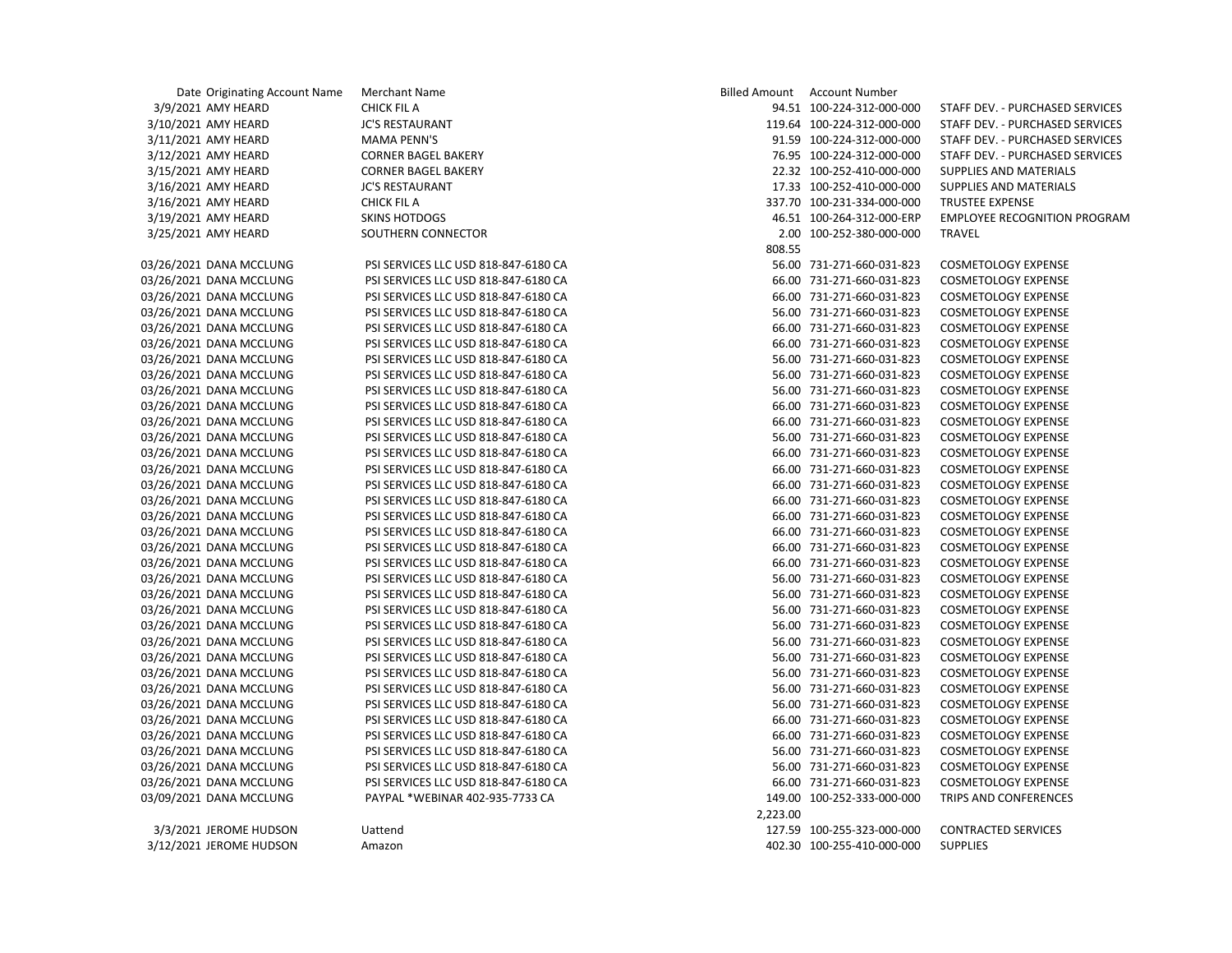| Date Originating Account Name | Merchant Name                        |          | Billed Amount Account Number |                                     |
|-------------------------------|--------------------------------------|----------|------------------------------|-------------------------------------|
| 3/9/2021 AMY HEARD            | <b>CHICK FIL A</b>                   |          | 94.51 100-224-312-000-000    | STAFF DEV. - PURCHASED SERVICES     |
| 3/10/2021 AMY HEARD           | <b>JC'S RESTAURANT</b>               |          | 119.64 100-224-312-000-000   | STAFF DEV. - PURCHASED SERVICES     |
| 3/11/2021 AMY HEARD           | <b>MAMA PENN'S</b>                   |          | 91.59 100-224-312-000-000    | STAFF DEV. - PURCHASED SERVICES     |
| 3/12/2021 AMY HEARD           | <b>CORNER BAGEL BAKERY</b>           |          | 76.95 100-224-312-000-000    | STAFF DEV. - PURCHASED SERVICES     |
| 3/15/2021 AMY HEARD           | <b>CORNER BAGEL BAKERY</b>           |          | 22.32 100-252-410-000-000    | SUPPLIES AND MATERIALS              |
| 3/16/2021 AMY HEARD           | <b>JC'S RESTAURANT</b>               |          | 17.33 100-252-410-000-000    | SUPPLIES AND MATERIALS              |
| 3/16/2021 AMY HEARD           | <b>CHICK FIL A</b>                   |          | 337.70 100-231-334-000-000   | <b>TRUSTEE EXPENSE</b>              |
| 3/19/2021 AMY HEARD           | <b>SKINS HOTDOGS</b>                 |          | 46.51 100-264-312-000-ERP    | <b>EMPLOYEE RECOGNITION PROGRAM</b> |
| 3/25/2021 AMY HEARD           | SOUTHERN CONNECTOR                   |          | 2.00 100-252-380-000-000     | <b>TRAVEL</b>                       |
|                               |                                      | 808.55   |                              |                                     |
| )3/26/2021 DANA MCCLUNG       | PSI SERVICES LLC USD 818-847-6180 CA |          | 56.00 731-271-660-031-823    | <b>COSMETOLOGY EXPENSE</b>          |
| 03/26/2021 DANA MCCLUNG       | PSI SERVICES LLC USD 818-847-6180 CA |          | 66.00 731-271-660-031-823    | <b>COSMETOLOGY EXPENSE</b>          |
| )3/26/2021 DANA MCCLUNG       | PSI SERVICES LLC USD 818-847-6180 CA |          | 66.00 731-271-660-031-823    | <b>COSMETOLOGY EXPENSE</b>          |
| )3/26/2021 DANA MCCLUNG       | PSI SERVICES LLC USD 818-847-6180 CA |          | 56.00 731-271-660-031-823    | <b>COSMETOLOGY EXPENSE</b>          |
| )3/26/2021 DANA MCCLUNG       | PSI SERVICES LLC USD 818-847-6180 CA |          | 66.00 731-271-660-031-823    | <b>COSMETOLOGY EXPENSE</b>          |
| )3/26/2021 DANA MCCLUNG       | PSI SERVICES LLC USD 818-847-6180 CA |          | 66.00 731-271-660-031-823    | <b>COSMETOLOGY EXPENSE</b>          |
| )3/26/2021 DANA MCCLUNG       | PSI SERVICES LLC USD 818-847-6180 CA |          | 56.00 731-271-660-031-823    | <b>COSMETOLOGY EXPENSE</b>          |
| 3/26/2021 DANA MCCLUNG        | PSI SERVICES LLC USD 818-847-6180 CA |          | 56.00 731-271-660-031-823    | <b>COSMETOLOGY EXPENSE</b>          |
| 03/26/2021 DANA MCCLUNG       | PSI SERVICES LLC USD 818-847-6180 CA |          | 56.00 731-271-660-031-823    | <b>COSMETOLOGY EXPENSE</b>          |
| )3/26/2021 DANA MCCLUNG       | PSI SERVICES LLC USD 818-847-6180 CA |          | 66.00 731-271-660-031-823    | <b>COSMETOLOGY EXPENSE</b>          |
| )3/26/2021 DANA MCCLUNG       | PSI SERVICES LLC USD 818-847-6180 CA |          | 66.00 731-271-660-031-823    | <b>COSMETOLOGY EXPENSE</b>          |
| )3/26/2021 DANA MCCLUNG       | PSI SERVICES LLC USD 818-847-6180 CA |          | 56.00 731-271-660-031-823    | <b>COSMETOLOGY EXPENSE</b>          |
| 3/26/2021 DANA MCCLUNG        | PSI SERVICES LLC USD 818-847-6180 CA |          | 66.00 731-271-660-031-823    | <b>COSMETOLOGY EXPENSE</b>          |
| 3/26/2021 DANA MCCLUNG        | PSI SERVICES LLC USD 818-847-6180 CA |          | 66.00 731-271-660-031-823    | <b>COSMETOLOGY EXPENSE</b>          |
| )3/26/2021 DANA MCCLUNG       | PSI SERVICES LLC USD 818-847-6180 CA |          | 66.00 731-271-660-031-823    | <b>COSMETOLOGY EXPENSE</b>          |
| 3/26/2021 DANA MCCLUNG        | PSI SERVICES LLC USD 818-847-6180 CA |          | 66.00 731-271-660-031-823    | <b>COSMETOLOGY EXPENSE</b>          |
| 03/26/2021 DANA MCCLUNG       | PSI SERVICES LLC USD 818-847-6180 CA |          | 66.00 731-271-660-031-823    | <b>COSMETOLOGY EXPENSE</b>          |
| )3/26/2021 DANA MCCLUNG       | PSI SERVICES LLC USD 818-847-6180 CA |          | 66.00 731-271-660-031-823    | <b>COSMETOLOGY EXPENSE</b>          |
| 03/26/2021 DANA MCCLUNG       | PSI SERVICES LLC USD 818-847-6180 CA |          | 66.00 731-271-660-031-823    | <b>COSMETOLOGY EXPENSE</b>          |
| )3/26/2021 DANA MCCLUNG       | PSI SERVICES LLC USD 818-847-6180 CA |          | 66.00 731-271-660-031-823    | <b>COSMETOLOGY EXPENSE</b>          |
| )3/26/2021 DANA MCCLUNG       | PSI SERVICES LLC USD 818-847-6180 CA |          | 56.00 731-271-660-031-823    | <b>COSMETOLOGY EXPENSE</b>          |
| )3/26/2021 DANA MCCLUNG       | PSI SERVICES LLC USD 818-847-6180 CA |          | 56.00 731-271-660-031-823    | <b>COSMETOLOGY EXPENSE</b>          |
| )3/26/2021 DANA MCCLUNG       | PSI SERVICES LLC USD 818-847-6180 CA |          | 56.00 731-271-660-031-823    | <b>COSMETOLOGY EXPENSE</b>          |
| )3/26/2021 DANA MCCLUNG       | PSI SERVICES LLC USD 818-847-6180 CA |          | 56.00 731-271-660-031-823    | <b>COSMETOLOGY EXPENSE</b>          |
| 03/26/2021 DANA MCCLUNG       | PSI SERVICES LLC USD 818-847-6180 CA |          | 56.00 731-271-660-031-823    | <b>COSMETOLOGY EXPENSE</b>          |
| 3/26/2021 DANA MCCLUNG        | PSI SERVICES LLC USD 818-847-6180 CA |          | 56.00 731-271-660-031-823    | <b>COSMETOLOGY EXPENSE</b>          |
| )3/26/2021 DANA MCCLUNG       | PSI SERVICES LLC USD 818-847-6180 CA |          | 56.00 731-271-660-031-823    | <b>COSMETOLOGY EXPENSE</b>          |
| )3/26/2021 DANA MCCLUNG       | PSI SERVICES LLC USD 818-847-6180 CA |          | 56.00 731-271-660-031-823    | <b>COSMETOLOGY EXPENSE</b>          |
| )3/26/2021 DANA MCCLUNG       | PSI SERVICES LLC USD 818-847-6180 CA |          | 56.00 731-271-660-031-823    | <b>COSMETOLOGY EXPENSE</b>          |
| 3/26/2021 DANA MCCLUNG        | PSI SERVICES LLC USD 818-847-6180 CA |          | 66.00 731-271-660-031-823    | <b>COSMETOLOGY EXPENSE</b>          |
| 3/26/2021 DANA MCCLUNG        | PSI SERVICES LLC USD 818-847-6180 CA |          | 66.00 731-271-660-031-823    | <b>COSMETOLOGY EXPENSE</b>          |
| )3/26/2021 DANA MCCLUNG       | PSI SERVICES LLC USD 818-847-6180 CA |          | 56.00 731-271-660-031-823    | <b>COSMETOLOGY EXPENSE</b>          |
| 3/26/2021 DANA MCCLUNG        | PSI SERVICES LLC USD 818-847-6180 CA |          | 56.00 731-271-660-031-823    | <b>COSMETOLOGY EXPENSE</b>          |
| 3/26/2021 DANA MCCLUNG        | PSI SERVICES LLC USD 818-847-6180 CA |          | 66.00 731-271-660-031-823    | <b>COSMETOLOGY EXPENSE</b>          |
| 03/09/2021 DANA MCCLUNG       | PAYPAL *WEBINAR 402-935-7733 CA      |          | 149.00 100-252-333-000-000   | TRIPS AND CONFERENCES               |
|                               |                                      | 2,223.00 |                              |                                     |
| 3/3/2021 JEROME HUDSON        | Uattend                              |          | 127.59 100-255-323-000-000   | <b>CONTRACTED SERVICES</b>          |
| 3/12/2021 JEROME HUDSON       | Amazon                               |          | 402.30 100-255-410-000-000   | <b>SUPPLIES</b>                     |
|                               |                                      |          |                              |                                     |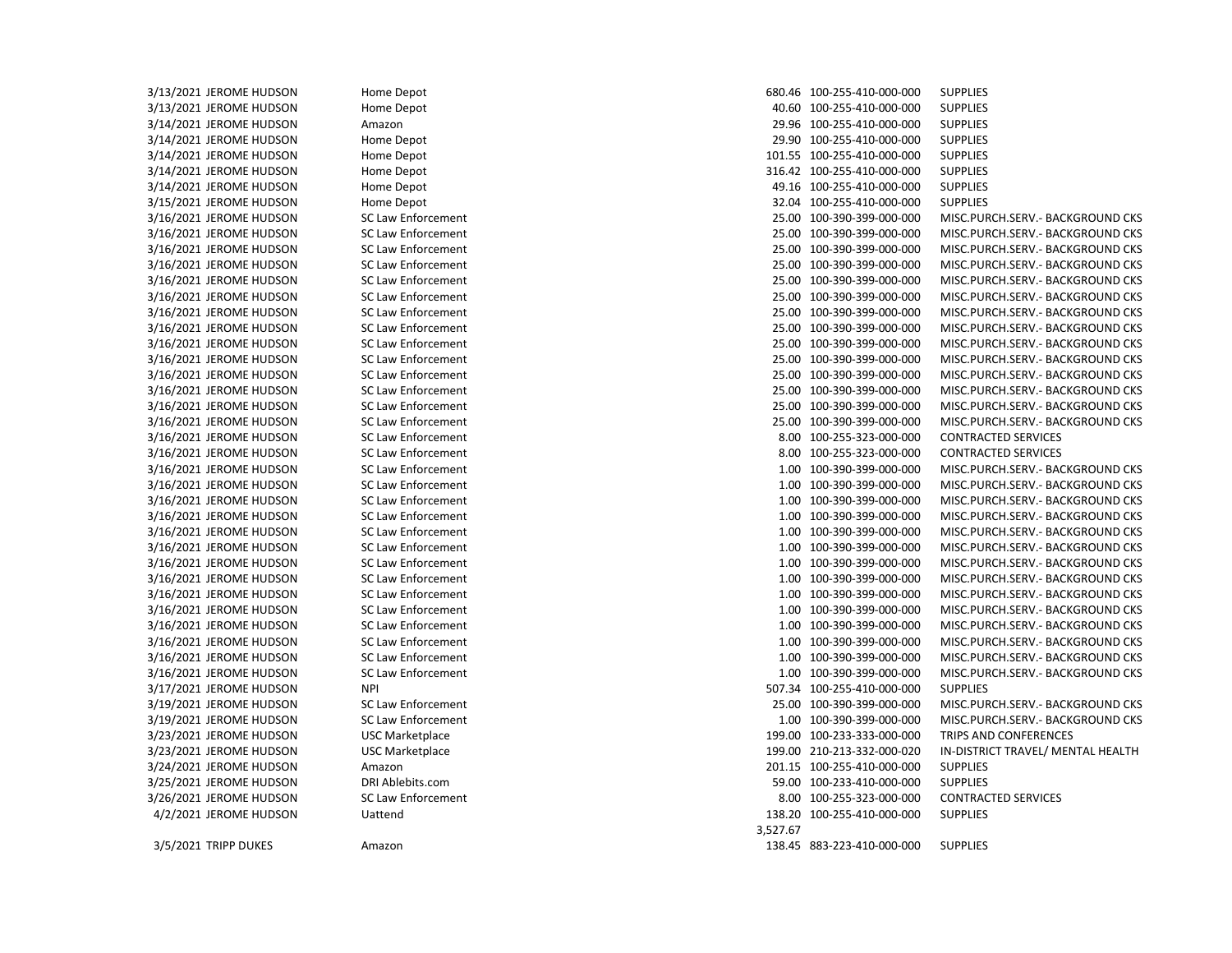3/13/2021 JEROME HUDSON Home Depot 680.46 100-255-410-000-000 SUPPLIES 3/13/2021 JEROME HUDSON Home Depot 40.60 100-255-410-000-000 SUPPLIES 3/14/2021 JEROME HUDSON Amazon 29.96 100-255-410-000-000 SUPPLIES 3/14/2021 JEROME HUDSON Home Depot 29.90 100-255-410-000-000 SUPPLIES 3/14/2021 JEROME HUDSON Home Depot 101.55 100-255-410-000-000 SUPPLIES 3/14/2021 JEROME HUDSON Home Depot 316.42 100-255-410-000-000 SUPPLIES 3/14/2021 JEROME HUDSON Home Depot 49.16 100-255-410-000-000 SUPPLIES 3/15/2021 JEROME HUDSON Home Depot 32.04 100-255-410-000-000 SUPPLIES 3/16/2021 JEROME HUDSON SC Law Enforcement 25.00 100-390-399-000-000 MISC.PURCH.SERV.- BACKGROUND CKS 3/16/2021 JEROME HUDSON SC Law Enforcement 25.00 100-390-399-000-000 MISC.PURCH.SERV.- BACKGROUND CKS 3/16/2021 JEROME HUDSON SC Law Enforcement 25.00 100-390-399-000-000 MISC.PURCH.SERV.- BACKGROUND CKS 3/16/2021 JEROME HUDSON SC Law Enforcement 25.00 100-390-399-000-000 MISC.PURCH.SERV.- BACKGROUND CKS 3/16/2021 JEROME HUDSON SC Law Enforcement 25.00 100-390-399-000-000 MISC.PURCH.SERV.- BACKGROUND CKS 3/16/2021 JEROME HUDSON SC Law Enforcement 25.00 100-390-399-000-000 MISC.PURCH.SERV.- BACKGROUND CKS 3/16/2021 JEROME HUDSON SC Law Enforcement 25.00 100-390-399-000-000 MISC.PURCH.SERV.- BACKGROUND CKS 3/16/2021 JEROME HUDSON SC Law Enforcement 25.00 100-390-399-000-000 MISC.PURCH.SERV.- BACKGROUND CKS 3/16/2021 JEROME HUDSON SC Law Enforcement 25.00 100-390-399-000-000 MISC.PURCH.SERV.- BACKGROUND CKS 3/16/2021 JEROME HUDSON SC Law Enforcement 25.00 100-390-399-000-000 MISC.PURCH.SERV.- BACKGROUND CKS 3/16/2021 JEROME HUDSON SC Law Enforcement 25.00 100-390-399-000-000 MISC.PURCH.SERV.- BACKGROUND CKS 3/16/2021 JEROME HUDSON SC Law Enforcement 25.00 100-390-399-000-000 MISC.PURCH.SERV.- BACKGROUND CKS 3/16/2021 JEROME HUDSON SC Law Enforcement 25.00 100-390-399-000-000 MISC.PURCH.SERV.- BACKGROUND CKS 3/16/2021 JEROME HUDSON SC Law Enforcement 25.00 100-390-399-000-000 MISC.PURCH.SERV.- BACKGROUND CKS 3/16/2021 JEROME HUDSON SC Law Enforcement 8.00 100-255-323-000-000 CONTRACTED SERVICES 3/16/2021 JEROME HUDSON SC Law Enforcement 8.00 100-255-323-000-000 CONTRACTED SERVICES 3/16/2021 JEROME HUDSON SC Law Enforcement 1.00 100-390-399-000-000 MISC.PURCH.SERV.- BACKGROUND CKS 3/16/2021 JEROME HUDSON SC Law Enforcement 1.00 100-390-399-000-000 MISC.PURCH.SERV.- BACKGROUND CKS 3/16/2021 JEROME HUDSON SC Law Enforcement 1.00 100-390-399-000-000 MISC.PURCH.SERV.- BACKGROUND CKS 3/16/2021 JEROME HUDSON SC Law Enforcement 1.00 100-390-399-000-000 MISC.PURCH.SERV.- BACKGROUND CKS 3/16/2021 JEROME HUDSON SC Law Enforcement 1.00 100-390-399-000-000 MISC.PURCH.SERV.- BACKGROUND CKS 3/16/2021 JEROME HUDSON SC Law Enforcement 1.00 100-390-399-000-000 MISC.PURCH.SERV.- BACKGROUND CKS 3/16/2021 JEROME HUDSON SC Law Enforcement 1.00 100-390-399-000-000 MISC.PURCH.SERV.- BACKGROUND CKS 3/16/2021 JEROME HUDSON SC Law Enforcement 1.00 100-390-399-000-000 MISC.PURCH.SERV.- BACKGROUND CKS 3/16/2021 JEROME HUDSON SC Law Enforcement 1.00 100-390-399-000-000 MISC.PURCH.SERV.- BACKGROUND CKS 3/16/2021 JEROME HUDSON SC Law Enforcement 1.00 100-390-399-000-000 MISC.PURCH.SERV.- BACKGROUND CKS 3/16/2021 JEROME HUDSON SC Law Enforcement 1.00 100-390-399-000-000 MISC.PURCH.SERV.- BACKGROUND CKS 3/16/2021 JEROME HUDSON SC Law Enforcement 1.00 100-390-399-000-000 MISC.PURCH.SERV.- BACKGROUND CKS 3/16/2021 JEROME HUDSON SC Law Enforcement 1.00 100-390-399-000-000 MISC.PURCH.SERV.- BACKGROUND CKS 3/16/2021 JEROME HUDSON SC Law Enforcement 1.00 100-390-399-000-000 MISC.PURCH.SERV.- BACKGROUND CKS 3/17/2021 JEROME HUDSON NPI 507.34 100-255-410-000-000 SUPPLIES 3/19/2021 JEROME HUDSON SC Law Enforcement 25.00 100-390-399-000-000 MISC.PURCH.SERV.- BACKGROUND CKS 3/19/2021 JEROME HUDSON SC Law Enforcement 1.00 100-390-399-000-000 MISC.PURCH.SERV.- BACKGROUND CKS 3/23/2021 JEROME HUDSON USC Marketplace USC 199.00 100-233-333-000-000 TRIPS AND CONFERENCES 3/23/2021 JEROME HUDSON USC Marketplace 199.00 210-213-332-000-020 IN-DISTRICT TRAVEL/ MENTAL HEALTH 3/24/2021 JEROME HUDSON Amazon 201.15 100-255-410-000-000 SUPPLIES 3/25/2021 JEROME HUDSON DRI Ablebits.com 59.00 100-233-410-000-000 SUPPLIES 3/26/2021 JEROME HUDSON SC Law Enforcement 8.00 100-255-323-000-000 CONTRACTED SERVICES 4/2/2021 JEROME HUDSON Uattend 138.20 100-255-410-000-000 SUPPLIES 3,527.67 3/5/2021 TRIPP DUKES Amazon 138.45 883-223-410-000-000 SUPPLIES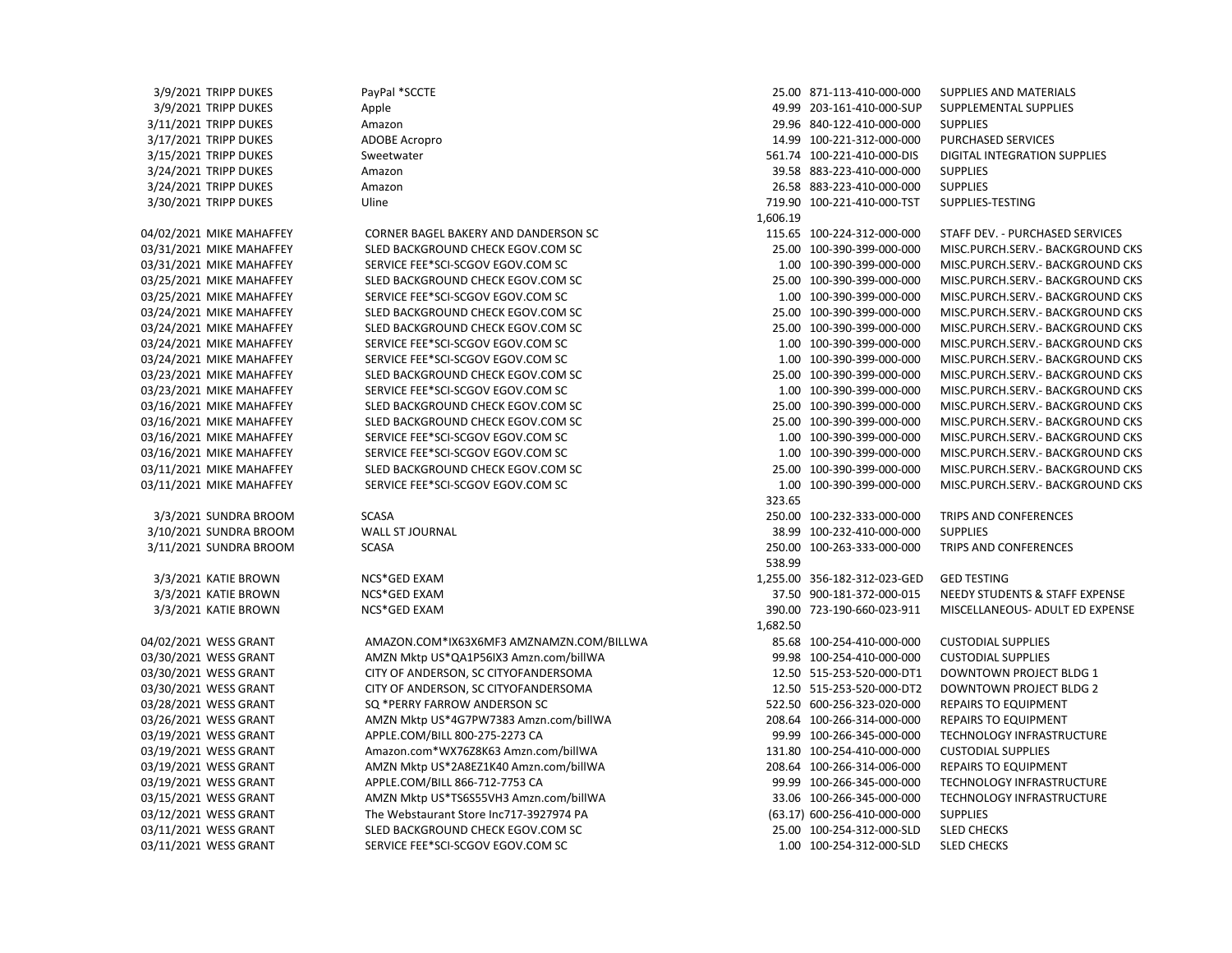3/9/2021 TRIPP DUKES PayPal \*SCCTE PayPal \*CCTE 25.00 B71-113-410-000-000 SUPPLIES AND MATERIALS 3/9/2021 TRIPP DUKES Apple Apple 49.99 203-161-410-000-SUP SUPPLEMENTAL SUPPLIES 3/11/2021 TRIPP DUKES Amazon 29.96 840-122-410-000-000 SUPPLIES 3/17/2021 TRIPP DUKES ADOBE Acropro 14.99 100-221-312-000-000 PURCHASED SERVICES 3/15/2021 TRIPP DUKES Sweetwater 561.74 100-221-410-000-DIS DIGITAL INTEGRATION SUPPLIES 3/24/2021 TRIPP DUKES Amazon 39.58 883-223-410-000-000 SUPPLIES 3/24/2021 TRIPP DUKES Amazon 26.58 883-223-410-000-000 SUPPLIES 3/30/2021 TRIPP DUKES Uline 719.90 100-221-410-000-TST SUPPLIES-TESTING 04/02/2021 MIKE MAHAFFEY CORNER BAGEL BAKERY AND DANDERSON SC 115.65 100-224-312-000-000 STAFF DEV. - PURCHASED SERVICES 03/31/2021 MIKE MAHAFFEY SLED BACKGROUND CHECK EGOV.COM SC 25.00 25.00 100-390-399-000-000 MISC.PURCH.SERV.- BACKGROUND CKS 03/31/2021 MIKE MAHAFFEY SERVICE FEE\*SCI-SCGOV EGOV.COM SC 1.00 100-390-399-000-000 MISC.PURCH.SERV.- BACKGROUND CKS 03/25/2021 MIKE MAHAFFEY SLED BACKGROUND CHECK EGOV.COM SC 25.00 25.00 100-390-399-000-000 MISC.PURCH.SERV.- BACKGROUND CKS 03/25/2021 MIKE MAHAFFEY SERVICE FEE\*SCI-SCGOV EGOV.COM SC 1.00 100-390-399-000-000 MISC.PURCH.SERV.- BACKGROUND CKS 03/24/2021 MIKE MAHAFFEY SLED BACKGROUND CHECK EGOV.COM SC 25.00 25.00 100-390-399-000-000 MISC.PURCH.SERV.- BACKGROUND CKS 03/24/2021 MIKE MAHAFFEY SLED BACKGROUND CHECK EGOV.COM SC 25.00 25.00 100-390-399-000-000 MISC.PURCH.SERV.- BACKGROUND CKS 03/24/2021 MIKE MAHAFFEY SERVICE FEE\*SCI-SCGOV EGOV.COM SC 1.00 100-390-399-000-000 MISC.PURCH.SERV.- BACKGROUND CKS 03/24/2021 MIKE MAHAFFEY SERVICE FEE\*SCI-SCGOV EGOV.COM SC 1.00 100-390-399-000-000 MISC.PURCH.SERV.- BACKGROUND CKS 03/23/2021 MIKE MAHAFFEY SLED BACKGROUND CHECK EGOV.COM SC 25.00 25.00 100-390-399-000-000 MISC.PURCH.SERV.- BACKGROUND CKS 03/23/2021 MIKE MAHAFFEY SERVICE FEE\*SCI-SCGOV EGOV.COM SC 1.00 100-390-399-000-000 MISC.PURCH.SERV.- BACKGROUND CKS 03/16/2021 MIKE MAHAFFEY SLED BACKGROUND CHECK EGOV.COM SC 25.00 25.00 100-390-399-000-000 MISC.PURCH.SERV.- BACKGROUND CKS 03/16/2021 MIKE MAHAFFEY SLED BACKGROUND CHECK EGOV.COM SC 25.00 200-390-399-000-000 MISC.PURCH.SERV.- BACKGROUND CKS 03/16/2021 MIKE MAHAFFEY SERVICE FEE\*SCI-SCGOV EGOV.COM SC 1.00 100-390-399-000-000 MISC.PURCH.SERV.- BACKGROUND CKS 03/16/2021 MIKE MAHAFFEY SERVICE FEE\*SCI-SCGOV EGOV.COM SC 1.00 100-390-399-000-000 MISC.PURCH.SERV.- BACKGROUND CKS 03/11/2021 MIKE MAHAFFEY SLED BACKGROUND CHECK EGOV.COM SC 25.00 25.00 100-390-399-000-000 MISC.PURCH.SERV.- BACKGROUND CKS 03/11/2021 MIKE MAHAFFEY SERVICE FEE\*SCI-SCGOV EGOV.COM SC 1.00 100-390-399-000-000 MISC.PURCH.SERV.- BACKGROUND CKS 3/3/2021 SUNDRA BROOM SCASA 250.00 100-232-333-000-000 TRIPS AND CONFERENCES 3/10/2021 SUNDRA BROOM WALL ST JOURNAL 38.99 100-232-410-000-000 SUPPLIES 3/11/2021 SUNDRA BROOM SCASA 250.00 100-263-333-000-000 TRIPS AND CONFERENCES 3/3/2021 KATIE BROWN NCS\*GED EXAM 1,255.00 356-182-312-023-GED GED TESTING 3/3/2021 KATIE BROWN NCS\*GED EXAM 37.50 900-181-372-000-015 NEEDY STUDENTS & STAFF EXPENSE 3/3/2021 KATIE BROWN NCS\*GED EXAM 390.00 723-190-660-023-911 MISCELLANEOUS- ADULT ED EXPENSE 04/02/2021 WESS GRANT AMAZON.COM\*IX63X6MF3 AMZNAMZN.COM/BILLWA 85.68 100-254-410-000-000 CUSTODIAL SUPPLIES 03/30/2021 WESS GRANT AMZN Mktp US\*QA1P56IX3 Amzn.com/billWA 99.98 100-254-410-000-000 CUSTODIAL SUPPLIES 03/30/2021 WESS GRANT CITY OF ANDERSON, SC CITYOFANDERSOMA 1997 12.50 515-253-520-000-DT1 DOWNTOWN PROJECT BLDG 1 03/30/2021 WESS GRANT CITY OF ANDERSON, SC CITYOFANDERSOMA 12.50 515-253-520-000-DT2 DOWNTOWN PROJECT BLDG 2 03/28/2021 WESS GRANT SQ \*PERRY FARROW ANDERSON SC 522.50 600-256-323-020-000 REPAIRS TO EQUIPMENT 03/26/2021 WESS GRANT AMZN Mktp US\*4G7PW7383 Amzn.com/billWA 208.64 100-266-314-000-000 REPAIRS TO EQUIPMENT 03/19/2021 WESS GRANT APPLE.COM/BILL 800-275-2273 CA 99.99 100-266-345-000-000 TECHNOLOGY INFRASTRUCTURE 03/19/2021 WESS GRANT Amazon.com\*WX76Z8K63 Amzn.com/billWA 131.80 100-254-410-000-000 CUSTODIAL SUPPLIES 03/19/2021 WESS GRANT AMZN Mktp US\*2A8EZ1K40 Amzn.com/billWA 208.64 100-266-314-006-000 REPAIRS TO EQUIPMENT 03/19/2021 WESS GRANT APPLE.COM/BILL 866-712-7753 CA 99.99 100-266-345-000-000 TECHNOLOGY INFRASTRUCTURE 03/15/2021 WESS GRANT AMZN Mktp US\*TS6S55VH3 Amzn.com/billWA 33.06 100-266-345-000-000 TECHNOLOGY INFRASTRUCTURE 03/12/2021 WESS GRANT The Webstaurant Store Inc717-3927974 PA (63.17) 600-256-410-000-000 SUPPLIES 03/11/2021 WESS GRANT SLED BACKGROUND CHECK EGOV.COM SC 25.00 100-254-312-000-SLD SLED CHECKS

 1,606.19 323.65 538.99 1,682.50 03/11/2021 WESS GRANT SERVICE FEE\*SCI-SCGOV EGOV.COM SC 1.00 100-254-312-000-SLD SLED CHECKS